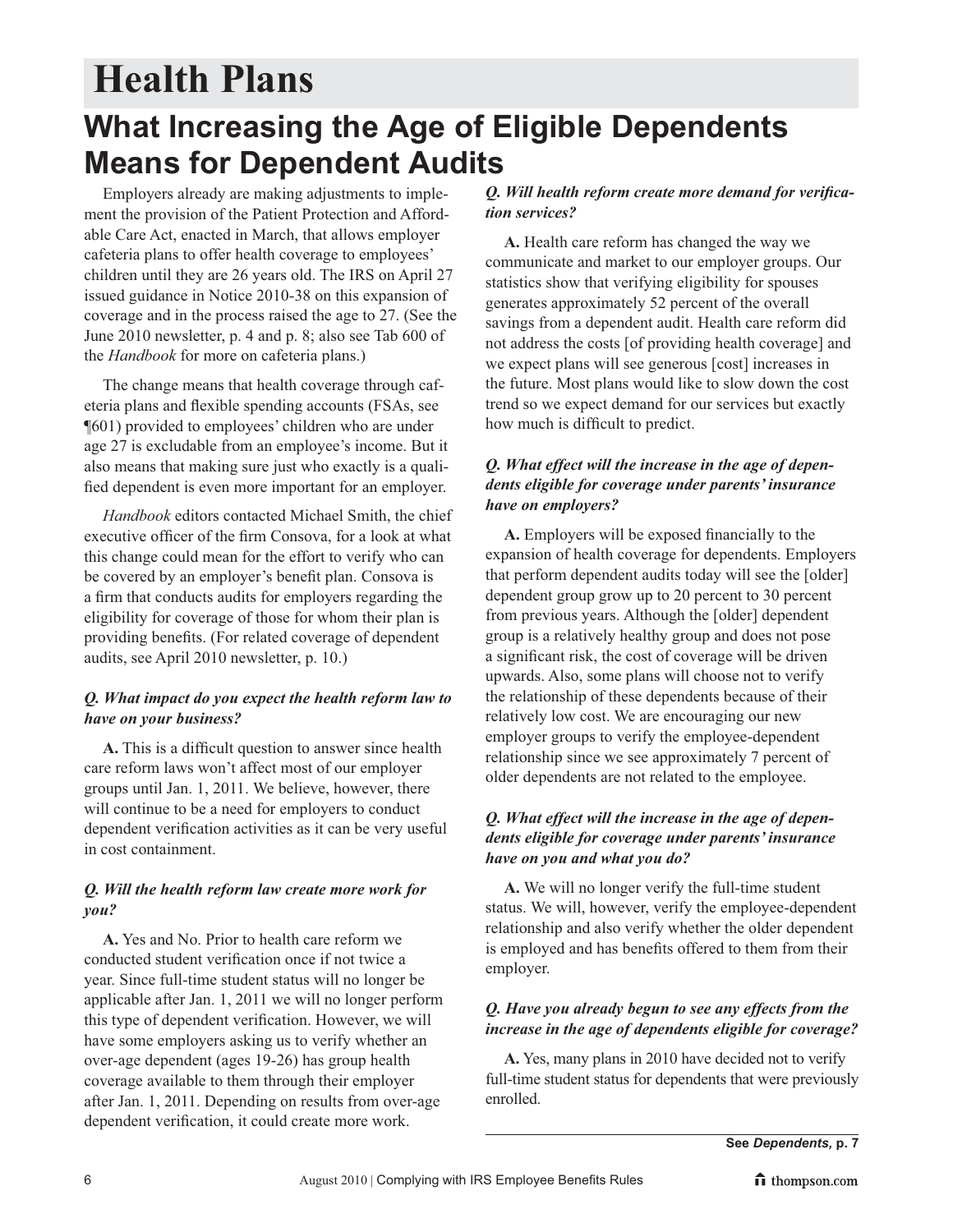# **Health Plans**

### **What Increasing the Age of Eligible Dependents Means for Dependent Audits**

Employers already are making adjustments to implement the provision of the Patient Protection and Affordable Care Act, enacted in March, that allows employer cafeteria plans to offer health coverage to employees' children until they are 26 years old. The IRS on April 27 issued guidance in Notice 2010-38 on this expansion of coverage and in the process raised the age to 27. (See the June 2010 newsletter, p. 4 and p. 8; also see Tab 600 of the *Handbook* for more on cafeteria plans.)

The change means that health coverage through cafeteria plans and flexible spending accounts (FSAs, see ¶601) provided to employees' children who are under age 27 is excludable from an employee's income. But it also means that making sure just who exactly is a qualified dependent is even more important for an employer.

*Handbook* editors contacted Michael Smith, the chief executive officer of the firm Consova, for a look at what this change could mean for the effort to verify who can be covered by an employer's benefit plan. Consova is a firm that conducts audits for employers regarding the eligibility for coverage of those for whom their plan is providing benefits. (For related coverage of dependent audits, see April 2010 newsletter, p. 10.)

#### *Q. What impact do you expect the health reform law to have on your business?*

**A.** This is a difficult question to answer since health care reform laws won't affect most of our employer groups until Jan. 1, 2011. We believe, however, there will continue to be a need for employers to conduct dependent verification activities as it can be very useful in cost containment.

#### *Q. Will the health reform law create more work for you?*

**A.** Yes and No. Prior to health care reform we conducted student verification once if not twice a year. Since full-time student status will no longer be applicable after Jan. 1, 2011 we will no longer perform this type of dependent verification. However, we will have some employers asking us to verify whether an over-age dependent (ages 19-26) has group health coverage available to them through their employer after Jan. 1, 2011. Depending on results from over-age dependent verification, it could create more work.

#### *Q. Will health reform create more demand for verification services?*

**A.** Health care reform has changed the way we communicate and market to our employer groups. Our statistics show that verifying eligibility for spouses generates approximately 52 percent of the overall savings from a dependent audit. Health care reform did not address the costs [of providing health coverage] and we expect plans will see generous [cost] increases in the future. Most plans would like to slow down the cost trend so we expect demand for our services but exactly how much is difficult to predict.

#### *Q. What effect will the increase in the age of dependents eligible for coverage under parents' insurance have on employers?*

**A.** Employers will be exposed financially to the expansion of health coverage for dependents. Employers that perform dependent audits today will see the [older] dependent group grow up to 20 percent to 30 percent from previous years. Although the [older] dependent group is a relatively healthy group and does not pose a significant risk, the cost of coverage will be driven upwards. Also, some plans will choose not to verify the relationship of these dependents because of their relatively low cost. We are encouraging our new employer groups to verify the employee-dependent relationship since we see approximately 7 percent of older dependents are not related to the employee.

#### *Q. What effect will the increase in the age of dependents eligible for coverage under parents' insurance have on you and what you do?*

**A.** We will no longer verify the full-time student status. We will, however, verify the employee-dependent relationship and also verify whether the older dependent is employed and has benefits offered to them from their employer.

#### *Q. Have you already begun to see any effects from the increase in the age of dependents eligible for coverage?*

**A.** Yes, many plans in 2010 have decided not to verify full-time student status for dependents that were previously enrolled.

**See** *Dependents,* **p. 7**